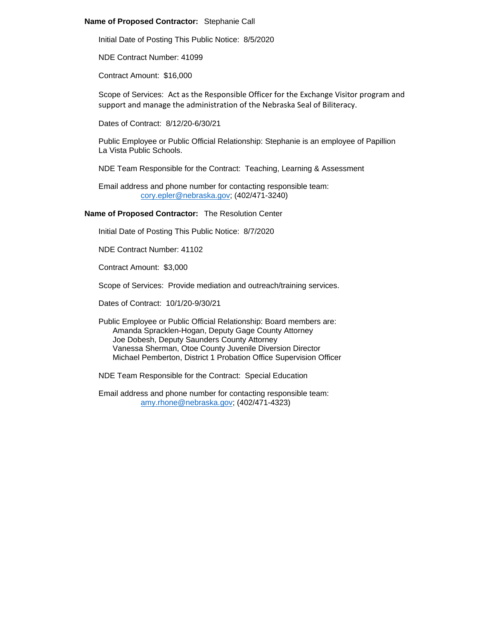## **Name of Proposed Contractor:** Stephanie Call

Initial Date of Posting This Public Notice: 8/5/2020

NDE Contract Number: 41099

Contract Amount: \$16,000

Scope of Services: Act as the Responsible Officer for the Exchange Visitor program and support and manage the administration of the Nebraska Seal of Biliteracy.

Dates of Contract: 8/12/20-6/30/21

Public Employee or Public Official Relationship: Stephanie is an employee of Papillion La Vista Public Schools.

NDE Team Responsible for the Contract: Teaching, Learning & Assessment

Email address and phone number for contacting responsible team: [cory.epler@nebraska.gov;](mailto:cory.epler@nebraska.gov) (402/471-3240)

**Name of Proposed Contractor:** The Resolution Center

Initial Date of Posting This Public Notice: 8/7/2020

NDE Contract Number: 41102

Contract Amount: \$3,000

Scope of Services: Provide mediation and outreach/training services.

Dates of Contract: 10/1/20-9/30/21

Public Employee or Public Official Relationship: Board members are: Amanda Spracklen-Hogan, Deputy Gage County Attorney Joe Dobesh, Deputy Saunders County Attorney Vanessa Sherman, Otoe County Juvenile Diversion Director Michael Pemberton, District 1 Probation Office Supervision Officer

NDE Team Responsible for the Contract: Special Education

Email address and phone number for contacting responsible team: [amy.rhone@nebraska.gov;](mailto:amy.rhone@nebraska.gov) (402/471-4323)